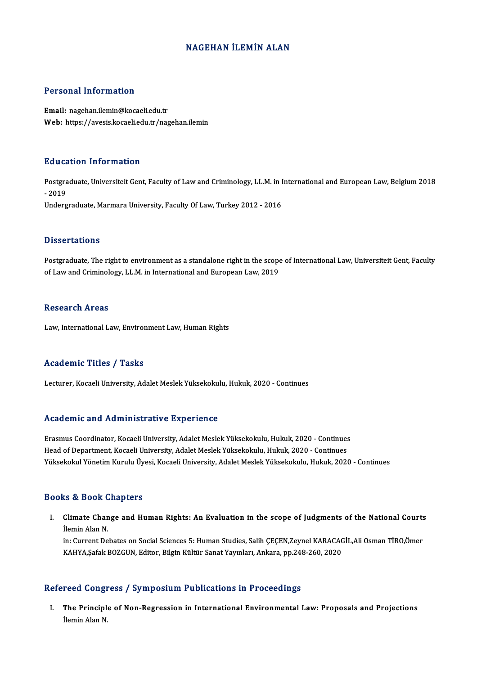# NAGEHAN İLEMİN ALAN

## Personal Information

Email: nagehan.ilemin@kocaeli.edu.tr Web: https://avesis.kocaeli.edu.tr/nagehan.ilemin

### Education Information

**Education Information**<br>Postgraduate, Universiteit Gent, Faculty of Law and Criminology, LL.M. in International and European Law, Belgium 2018<br>2019 Pause<br>Postgra<br>- 2019<br>Underg - 2019<br>Undergraduate, Marmara University, Faculty Of Law, Turkey 2012 - 2016

#### **Dissertations**

Postgraduate, The right to environment as a standalone right in the scope of International Law, Universiteit Gent, Faculty of Law and Criminology, LL.M. in International and European Law, 2019

### **Research Areas**

Law, International Law, Environment Law, Human Rights

### Academic Titles / Tasks

Lecturer, Kocaeli University, Adalet Meslek Yüksekokulu, Hukuk, 2020 - Continues

### Academic and Administrative Experience

ErasmusCoordinator,KocaeliUniversity,AdaletMeslekYüksekokulu,Hukuk,2020 -Continues Head of Department, Kocaeli University, Adalet Meslek Yüksekokulu, Hukuk, 2020 - Continues Yüksekokul Yönetim Kurulu Üyesi, Kocaeli University, Adalet Meslek Yüksekokulu, Hukuk, 2020 - Continues

### Books&Book Chapters

ooks & Book Chapters<br>I. Climate Change and Human Rights: An Evaluation in the scope of Judgments of the National Courts<br>Ilemin Alen N Ilemate Channel<br>Ilemin Alan N.<br>In: Current De Climate Change and Human Rights: An Evaluation in the scope of Judgments of the National Courts<br>İlemin Alan N.<br>in: Current Debates on Social Sciences 5: Human Studies, Salih ÇEÇEN,Zeynel KARACAGİL,Ali Osman TİRO,Ömer<br>KAHVA

İlemin Alan N.<br>in: Current Debates on Social Sciences 5: Human Studies, Salih ÇEÇEN,Zeynel KARACAC<br>KAHYA,Şafak BOZGUN, Editor, Bilgin Kültür Sanat Yayınları, Ankara, pp.248-260, 2020 KAHYA,Şafak BOZGUN, Editor, Bilgin Kültür Sanat Yayınları, Ankara, pp.248-260, 2020<br>Refereed Congress / Symposium Publications in Proceedings

efereed Congress / Symposium Publications in Proceedings<br>I. The Principle of Non-Regression in International Environmental Law: Proposals and Projections<br>Ilemin Alen N 1 cea congr<br>The Principle<br>İlemin Alan N.